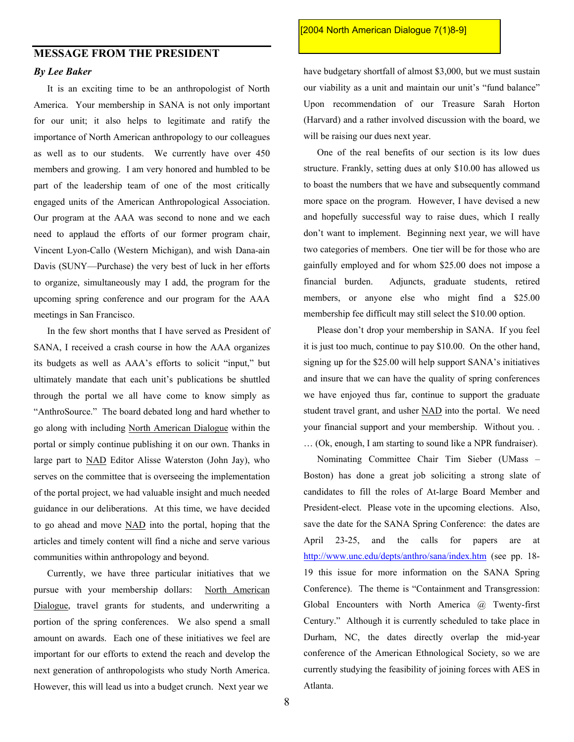## **MESSAGE FROM THE PRESIDENT**  *By Lee Baker*

It is an exciting time to be an anthropologist of North America. Your membership in SANA is not only important for our unit; it also helps to legitimate and ratify the importance of North American anthropology to our colleagues as well as to our students. We currently have over 450 members and growing. I am very honored and humbled to be part of the leadership team of one of the most critically engaged units of the American Anthropological Association. Our program at the AAA was second to none and we each need to applaud the efforts of our former program chair, Vincent Lyon-Callo (Western Michigan), and wish Dana-ain Davis (SUNY—Purchase) the very best of luck in her efforts to organize, simultaneously may I add, the program for the upcoming spring conference and our program for the AAA meetings in San Francisco.

In the few short months that I have served as President of SANA, I received a crash course in how the AAA organizes its budgets as well as AAA's efforts to solicit "input," but ultimately mandate that each unit's publications be shuttled through the portal we all have come to know simply as "AnthroSource." The board debated long and hard whether to go along with including North American Dialogue within the portal or simply continue publishing it on our own. Thanks in large part to NAD Editor Alisse Waterston (John Jay), who serves on the committee that is overseeing the implementation of the portal project, we had valuable insight and much needed guidance in our deliberations. At this time, we have decided to go ahead and move NAD into the portal, hoping that the articles and timely content will find a niche and serve various communities within anthropology and beyond.

Currently, we have three particular initiatives that we pursue with your membership dollars: North American Dialogue, travel grants for students, and underwriting a portion of the spring conferences. We also spend a small amount on awards. Each one of these initiatives we feel are important for our efforts to extend the reach and develop the next generation of anthropologists who study North America. However, this will lead us into a budget crunch. Next year we

## [2004 North American Dialogue 7(1)8-9]

have budgetary shortfall of almost \$3,000, but we must sustain our viability as a unit and maintain our unit's "fund balance" Upon recommendation of our Treasure Sarah Horton (Harvard) and a rather involved discussion with the board, we will be raising our dues next year.

One of the real benefits of our section is its low dues structure. Frankly, setting dues at only \$10.00 has allowed us to boast the numbers that we have and subsequently command more space on the program. However, I have devised a new and hopefully successful way to raise dues, which I really don't want to implement. Beginning next year, we will have two categories of members. One tier will be for those who are gainfully employed and for whom \$25.00 does not impose a financial burden. Adjuncts, graduate students, retired members, or anyone else who might find a \$25.00 membership fee difficult may still select the \$10.00 option.

Please don't drop your membership in SANA. If you feel it is just too much, continue to pay \$10.00. On the other hand, signing up for the \$25.00 will help support SANA's initiatives and insure that we can have the quality of spring conferences we have enjoyed thus far, continue to support the graduate student travel grant, and usher NAD into the portal. We need your financial support and your membership. Without you. . … (Ok, enough, I am starting to sound like a NPR fundraiser).

Nominating Committee Chair Tim Sieber (UMass – Boston) has done a great job soliciting a strong slate of candidates to fill the roles of At-large Board Member and President-elect. Please vote in the upcoming elections. Also, save the date for the SANA Spring Conference: the dates are April 23-25, and the calls for papers are at <http://www.unc.edu/depts/anthro/sana/index.htm> (see pp. 18-19 this issue for more information on the SANA Spring Conference). The theme is "Containment and Transgression: Global Encounters with North America @ Twenty-first Century." Although it is currently scheduled to take place in Durham, NC, the dates directly overlap the mid-year conference of the American Ethnological Society, so we are currently studying the feasibility of joining forces with AES in Atlanta.